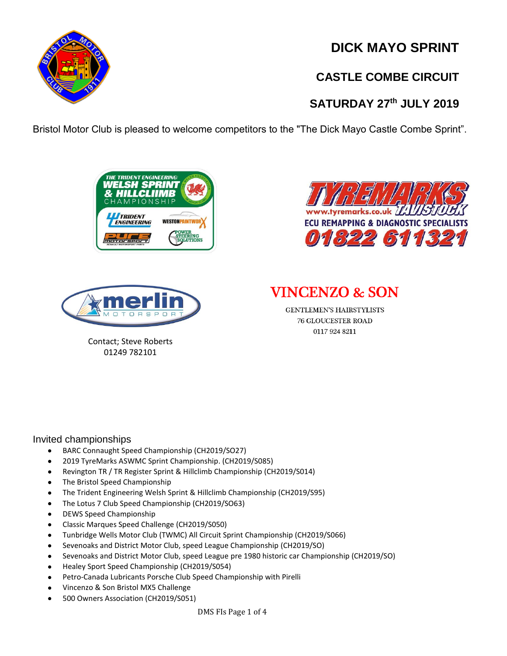**DICK MAYO SPRINT**

# **CASTLE COMBE CIRCUIT**

# **SATURDAY 27 th JULY 2019**

Bristol Motor Club is pleased to welcome competitors to the "The Dick Mayo Castle Combe Sprint".







Contact; Steve Roberts 01249 782101

**VINCENZO & SON** 

GENTLEMEN'S HAIRSTYLISTS **76 GLOUCESTER ROAD** 0117 924 8211

#### Invited championships

- BARC Connaught Speed Championship (CH2019/SO27)
- 2019 TyreMarks ASWMC Sprint Championship. (CH2019/S085)
- Revington TR / TR Register Sprint & Hillclimb Championship (CH2019/S014)
- The Bristol Speed Championship
- The Trident Engineering Welsh Sprint & Hillclimb Championship (CH2019/S95)
- The Lotus 7 Club Speed Championship (CH2019/SO63)
- DEWS Speed Championship
- Classic Marques Speed Challenge (CH2019/S050)
- Tunbridge Wells Motor Club (TWMC) All Circuit Sprint Championship (CH2019/S066)
- Sevenoaks and District Motor Club, speed League Championship (CH2019/SO)
- Sevenoaks and District Motor Club, speed League pre 1980 historic car Championship (CH2019/SO)
- Healey Sport Speed Championship (CH2019/S054)
- Petro-Canada Lubricants Porsche Club Speed Championship with Pirelli
- Vincenzo & Son Bristol MX5 Challenge
- 500 Owners Association (CH2019/S051)

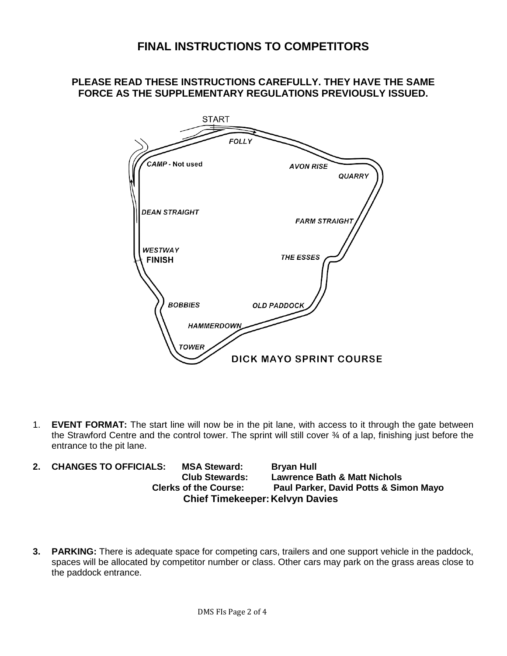### **FINAL INSTRUCTIONS TO COMPETITORS**

### **PLEASE READ THESE INSTRUCTIONS CAREFULLY. THEY HAVE THE SAME FORCE AS THE SUPPLEMENTARY REGULATIONS PREVIOUSLY ISSUED.**



1. **EVENT FORMAT:** The start line will now be in the pit lane, with access to it through the gate between the Strawford Centre and the control tower. The sprint will still cover ¾ of a lap, finishing just before the entrance to the pit lane.

- **2. CHANGES TO OFFICIALS: MSA Steward: Bryan Hull Club Stewards: Lawrence Bath & Matt Nichols Clerks of the Course: Paul Parker, David Potts & Simon Mayo Chief Timekeeper: Kelvyn Davies**
- **3. PARKING:** There is adequate space for competing cars, trailers and one support vehicle in the paddock, spaces will be allocated by competitor number or class. Other cars may park on the grass areas close to the paddock entrance.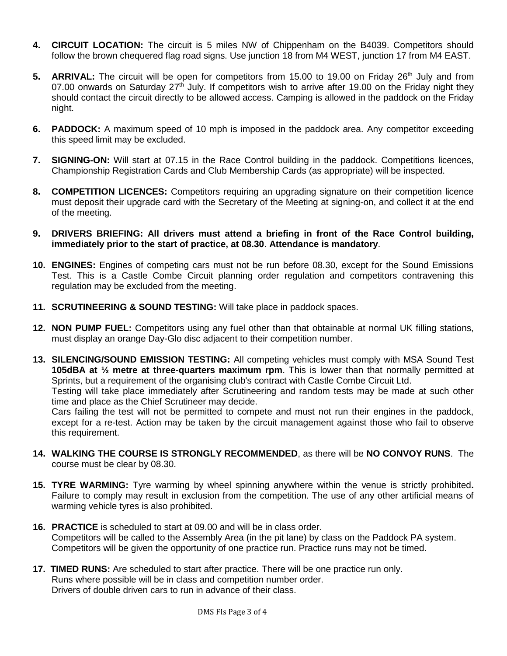- **4. CIRCUIT LOCATION:** The circuit is 5 miles NW of Chippenham on the B4039. Competitors should follow the brown chequered flag road signs. Use junction 18 from M4 WEST, junction 17 from M4 EAST.
- 5. **ARRIVAL:** The circuit will be open for competitors from 15.00 to 19.00 on Friday 26<sup>th</sup> July and from 07.00 onwards on Saturday 27<sup>th</sup> July. If competitors wish to arrive after 19.00 on the Friday night they should contact the circuit directly to be allowed access. Camping is allowed in the paddock on the Friday night.
- **6. PADDOCK:** A maximum speed of 10 mph is imposed in the paddock area. Any competitor exceeding this speed limit may be excluded.
- **7. SIGNING-ON:** Will start at 07.15 in the Race Control building in the paddock. Competitions licences, Championship Registration Cards and Club Membership Cards (as appropriate) will be inspected.
- **8. COMPETITION LICENCES:** Competitors requiring an upgrading signature on their competition licence must deposit their upgrade card with the Secretary of the Meeting at signing-on, and collect it at the end of the meeting.
- **9. DRIVERS BRIEFING: All drivers must attend a briefing in front of the Race Control building, immediately prior to the start of practice, at 08.30**. **Attendance is mandatory**.
- **10. ENGINES:** Engines of competing cars must not be run before 08.30, except for the Sound Emissions Test. This is a Castle Combe Circuit planning order regulation and competitors contravening this regulation may be excluded from the meeting.
- **11. SCRUTINEERING & SOUND TESTING:** Will take place in paddock spaces.
- **12. NON PUMP FUEL:** Competitors using any fuel other than that obtainable at normal UK filling stations, must display an orange Day-Glo disc adjacent to their competition number.
- **13. SILENCING/SOUND EMISSION TESTING:** All competing vehicles must comply with MSA Sound Test **105dBA at ½ metre at three-quarters maximum rpm**. This is lower than that normally permitted at Sprints, but a requirement of the organising club's contract with Castle Combe Circuit Ltd. Testing will take place immediately after Scrutineering and random tests may be made at such other time and place as the Chief Scrutineer may decide.

Cars failing the test will not be permitted to compete and must not run their engines in the paddock, except for a re-test. Action may be taken by the circuit management against those who fail to observe this requirement.

- **14. WALKING THE COURSE IS STRONGLY RECOMMENDED**, as there will be **NO CONVOY RUNS**. The course must be clear by 08.30.
- **15. TYRE WARMING:** Tyre warming by wheel spinning anywhere within the venue is strictly prohibited**.** Failure to comply may result in exclusion from the competition. The use of any other artificial means of warming vehicle tyres is also prohibited.
- **16. PRACTICE** is scheduled to start at 09.00 and will be in class order. Competitors will be called to the Assembly Area (in the pit lane) by class on the Paddock PA system. Competitors will be given the opportunity of one practice run. Practice runs may not be timed.
- **17. TIMED RUNS:** Are scheduled to start after practice. There will be one practice run only. Runs where possible will be in class and competition number order. Drivers of double driven cars to run in advance of their class.